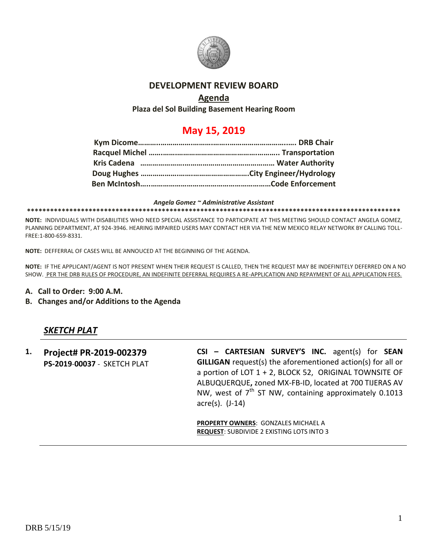

## **DEVELOPMENT REVIEW BOARD**

## **Agenda**

**Plaza del Sol Building Basement Hearing Room**

## **May 15, 2019**

*Angela Gomez ~ Administrative Assistant* **\*\*\*\*\*\*\*\*\*\*\*\*\*\*\*\*\*\*\*\*\*\*\*\*\*\*\*\*\*\*\*\*\*\*\*\*\*\*\*\*\*\*\*\*\*\*\*\*\*\*\*\*\*\*\*\*\*\*\*\*\*\*\*\*\*\*\*\*\*\*\*\*\*\*\*\*\*\*\*\*\*\*\*\*\*\*\*\*\*\*\*\*\*\*\*\*\***

**NOTE:** INDIVIDUALS WITH DISABILITIES WHO NEED SPECIAL ASSISTANCE TO PARTICIPATE AT THIS MEETING SHOULD CONTACT ANGELA GOMEZ, PLANNING DEPARTMENT, AT 924-3946. HEARING IMPAIRED USERS MAY CONTACT HER VIA THE NEW MEXICO RELAY NETWORK BY CALLING TOLL-FREE:1-800-659-8331.

**NOTE:** DEFFERRAL OF CASES WILL BE ANNOUCED AT THE BEGINNING OF THE AGENDA.

**NOTE:** IF THE APPLICANT/AGENT IS NOT PRESENT WHEN THEIR REQUEST IS CALLED, THEN THE REQUEST MAY BE INDEFINITELY DEFERRED ON A NO SHOW. PER THE DRB RULES OF PROCEDURE, AN INDEFINITE DEFERRAL REQUIRES A RE-APPLICATION AND REPAYMENT OF ALL APPLICATION FEES.

- **A. Call to Order: 9:00 A.M.**
- **B. Changes and/or Additions to the Agenda**

## *SKETCH PLAT*

**1. Project# PR-2019-002379 PS-2019**-**00037** - SKETCH PLAT **CSI – CARTESIAN SURVEY'S INC.** agent(s) for **SEAN GILLIGAN** request(s) the aforementioned action(s) for all or a portion of LOT 1 + 2, BLOCK 52, ORIGINAL TOWNSITE OF ALBUQUERQUE**,** zoned MX-FB-ID, located at 700 TIJERAS AV NW, west of  $7<sup>th</sup>$  ST NW, containing approximately 0.1013 acre(s). (J-14)

**PROPERTY OWNERS**: GONZALES MICHAEL A **REQUEST**: SUBDIVIDE 2 EXISTING LOTS INTO 3